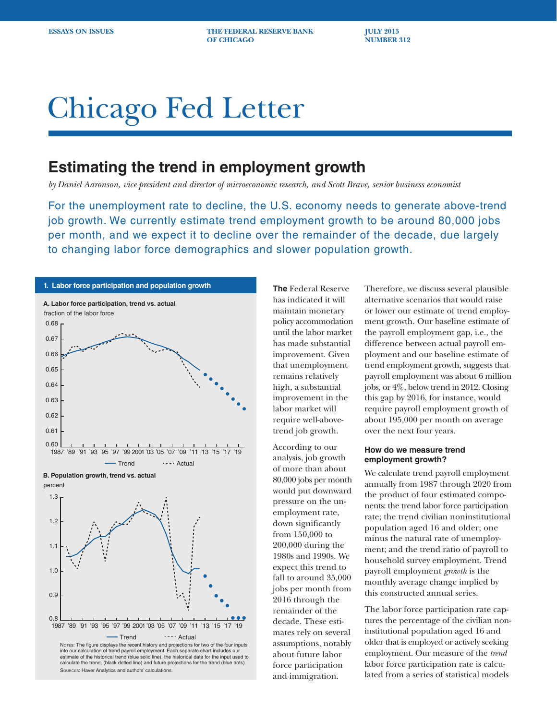**ESSAYS ON ISSUES THE FEDERAL RESERVE BANK JULY 2013 OF CHICAGO** NUMBER 312

# Chicago Fed Letter

## **Estimating the trend in employment growth**

*by Daniel Aaronson, vice president and director of microeconomic research, and Scott Brave, senior business economist*

For the unemployment rate to decline, the U.S. economy needs to generate above-trend job growth. We currently estimate trend employment growth to be around 80,000 jobs per month, and we expect it to decline over the remainder of the decade, due largely to changing labor force demographics and slower population growth.



has indicated it will maintain monetary policy accommodation until the labor market has made substantial improvement. Given that unemployment remains relatively high, a substantial improvement in the labor market will require well-abovetrend job growth.

**The** Federal Reserve

According to our analysis, job growth of more than about 80,000 jobs per month would put downward pressure on the unemployment rate, down significantly from 150,000 to 200,000 during the 1980s and 1990s. We expect this trend to fall to around 35,000 jobs per month from 2016 through the remainder of the decade. These estimates rely on several assumptions, notably about future labor force participation and immigration.

Therefore, we discuss several plausible alternative scenarios that would raise or lower our estimate of trend employment growth. Our baseline estimate of the payroll employment gap, i.e., the difference between actual payroll employment and our baseline estimate of trend employment growth, suggests that payroll employment was about 6 million jobs, or 4%, below trend in 2012. Closing this gap by 2016, for instance, would require payroll employment growth of about 195,000 per month on average over the next four years.

#### **How do we measure trend employment growth?**

We calculate trend payroll employment annually from 1987 through 2020 from the product of four estimated components: the trend labor force participation rate; the trend civilian noninstitutional population aged 16 and older; one minus the natural rate of unemployment; and the trend ratio of payroll to household survey employment. Trend payroll employment *growth* is the monthly average change implied by this constructed annual series.

The labor force participation rate captures the percentage of the civilian noninstitutional population aged 16 and older that is employed or actively seeking employment. Our measure of the *trend* labor force participation rate is calculated from a series of statistical models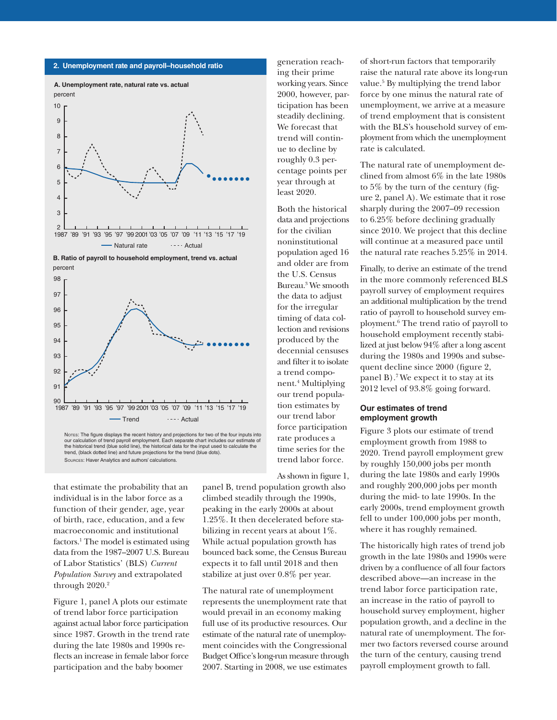





Notes: The figure displays the recent history and projections for two of the four inputs into our calculation of trend payroll employment. Each separate chart includes our estimate of the historical trend (blue solid line), the historical data for the input used to calculate the trend, (black dotted line) and future projections for the trend (blue dots). Sources: Haver Analytics and authors' calculations.

that estimate the probability that an individual is in the labor force as a function of their gender, age, year of birth, race, education, and a few macroeconomic and institutional factors.<sup>1</sup> The model is estimated using data from the 1987–2007 U.S. Bureau of Labor Statistics' (BLS) *Current Population Survey* and extrapolated through 2020.<sup>2</sup>

Figure 1, panel A plots our estimate of trend labor force participation against actual labor force participation since 1987. Growth in the trend rate during the late 1980s and 1990s reflects an increase in female labor force participation and the baby boomer

panel B, trend population growth also climbed steadily through the 1990s, peaking in the early 2000s at about 1.25%. It then decelerated before stabilizing in recent years at about 1%. While actual population growth has bounced back some, the Census Bureau expects it to fall until 2018 and then stabilize at just over 0.8% per year.

The natural rate of unemployment represents the unemployment rate that would prevail in an economy making full use of its productive resources. Our estimate of the natural rate of unemployment coincides with the Congressional Budget Office's long-run measure through 2007. Starting in 2008, we use estimates

generation reaching their prime working years. Since 2000, however, participation has been steadily declining. We forecast that trend will continue to decline by roughly 0.3 percentage points per year through at least 2020.

Both the historical data and projections for the civilian noninstitutional population aged 16 and older are from the U.S. Census Bureau.3 We smooth the data to adjust for the irregular timing of data collection and revisions produced by the decennial censuses and filter it to isolate a trend component.4 Multiplying our trend population estimates by our trend labor force participation rate produces a time series for the trend labor force.

As shown in figure 1,

of short-run factors that temporarily raise the natural rate above its long-run value.5 By multiplying the trend labor force by one minus the natural rate of unemployment, we arrive at a measure of trend employment that is consistent with the BLS's household survey of employment from which the unemployment rate is calculated.

The natural rate of unemployment declined from almost 6% in the late 1980s to 5% by the turn of the century (figure 2, panel A). We estimate that it rose sharply during the 2007–09 recession to 6.25% before declining gradually since 2010. We project that this decline will continue at a measured pace until the natural rate reaches 5.25% in 2014.

Finally, to derive an estimate of the trend in the more commonly referenced BLS payroll survey of employment requires an additional multiplication by the trend ratio of payroll to household survey employment.6 The trend ratio of payroll to household employment recently stabilized at just below 94% after a long ascent during the 1980s and 1990s and subsequent decline since 2000 (figure 2, panel B).7 We expect it to stay at its 2012 level of 93.8% going forward.

#### **Our estimates of trend employment growth**

Figure 3 plots our estimate of trend employment growth from 1988 to 2020. Trend payroll employment grew by roughly 150,000 jobs per month during the late 1980s and early 1990s and roughly 200,000 jobs per month during the mid- to late 1990s. In the early 2000s, trend employment growth fell to under 100,000 jobs per month, where it has roughly remained.

The historically high rates of trend job growth in the late 1980s and 1990s were driven by a confluence of all four factors described above—an increase in the trend labor force participation rate, an increase in the ratio of payroll to household survey employment, higher population growth, and a decline in the natural rate of unemployment. The former two factors reversed course around the turn of the century, causing trend payroll employment growth to fall.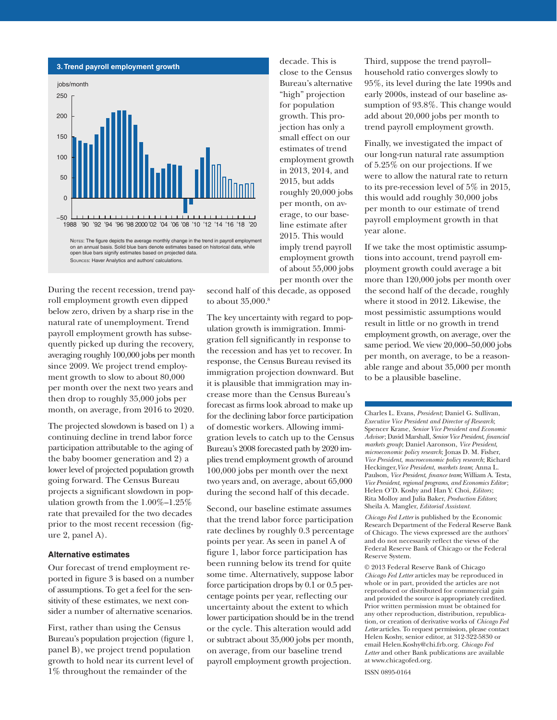

During the recent recession, trend payroll employment growth even dipped below zero, driven by a sharp rise in the natural rate of unemployment. Trend payroll employment growth has subsequently picked up during the recovery, averaging roughly 100,000 jobs per month since 2009. We project trend employment growth to slow to about 80,000 per month over the next two years and then drop to roughly 35,000 jobs per month, on average, from 2016 to 2020.

The projected slowdown is based on 1) a continuing decline in trend labor force participation attributable to the aging of the baby boomer generation and 2) a lower level of projected population growth going forward. The Census Bureau projects a significant slowdown in population growth from the 1.00%–1.25% rate that prevailed for the two decades prior to the most recent recession (figure 2, panel A).

### **Alternative estimates**

Our forecast of trend employment reported in figure 3 is based on a number of assumptions. To get a feel for the sensitivity of these estimates, we next consider a number of alternative scenarios.

First, rather than using the Census Bureau's population projection (figure 1, panel B), we project trend population growth to hold near its current level of 1% throughout the remainder of the

second half of this decade, as opposed to about 35,000.8

decade. This is close to the Census Bureau's alternative "high" projection for population growth. This projection has only a small effect on our estimates of trend employment growth in 2013, 2014, and 2015, but adds roughly 20,000 jobs per month, on average, to our baseline estimate after 2015. This would imply trend payroll employment growth of about 55,000 jobs per month over the

The key uncertainty with regard to population growth is immigration. Immigration fell significantly in response to the recession and has yet to recover. In response, the Census Bureau revised its immigration projection downward. But it is plausible that immigration may increase more than the Census Bureau's forecast as firms look abroad to make up for the declining labor force participation of domestic workers. Allowing immigration levels to catch up to the Census Bureau's 2008 forecasted path by 2020 implies trend employment growth of around 100,000 jobs per month over the next two years and, on average, about 65,000 during the second half of this decade.

Second, our baseline estimate assumes that the trend labor force participation rate declines by roughly 0.3 percentage points per year. As seen in panel A of figure 1, labor force participation has been running below its trend for quite some time. Alternatively, suppose labor force participation drops by 0.1 or 0.5 percentage points per year, reflecting our uncertainty about the extent to which lower participation should be in the trend or the cycle. This alteration would add or subtract about 35,000 jobs per month, on average, from our baseline trend payroll employment growth projection.

Third, suppose the trend payroll– household ratio converges slowly to 95%, its level during the late 1990s and early 2000s, instead of our baseline assumption of 93.8%. This change would add about 20,000 jobs per month to trend payroll employment growth.

Finally, we investigated the impact of our long-run natural rate assumption of 5.25% on our projections. If we were to allow the natural rate to return to its pre-recession level of 5% in 2015, this would add roughly 30,000 jobs per month to our estimate of trend payroll employment growth in that year alone.

If we take the most optimistic assumptions into account, trend payroll employment growth could average a bit more than 120,000 jobs per month over the second half of the decade, roughly where it stood in 2012. Likewise, the most pessimistic assumptions would result in little or no growth in trend employment growth, on average, over the same period. We view 20,000–50,000 jobs per month, on average, to be a reasonable range and about 35,000 per month to be a plausible baseline.

Charles L. Evans, *President*; Daniel G. Sullivan, *Executive Vice President and Director of Research*; Spencer Krane, *Senior Vice President and Economic Advisor*; David Marshall, *Senior Vice President*, *financial markets group*; Daniel Aaronson, *Vice President*, *microeconomic policy research*; Jonas D. M. Fisher, *Vice President*, *macroeconomic policy research*; Richard Heckinger,*Vice President*, *markets team*; Anna L. Paulson, *Vice President*, *finance team*; William A. Testa, *Vice President*, *regional programs*, *and Economics Editor*; Helen O'D. Koshy and Han Y. Choi, *Editors* ; Rita Molloy and Julia Baker, *Production Editors*; Sheila A. Mangler, *Editorial Assistant.* 

*Chicago Fed Letter* is published by the Economic Research Department of the Federal Reserve Bank of Chicago. The views expressed are the authors' and do not necessarily reflect the views of the Federal Reserve Bank of Chicago or the Federal Reserve System.

© 2013 Federal Reserve Bank of Chicago *Chicago Fed Letter* articles may be reproduced in whole or in part, provided the articles are not reproduced or distributed for commercial gain and provided the source is appropriately credited. Prior written permission must be obtained for any other reproduction, distribution, republication, or creation of derivative works of *Chicago Fed Letter* articles. To request permission, please contact Helen Koshy, senior editor, at 312-322-5830 or email Helen.Koshy@chi.frb.org. *Chicago Fed Letter* and other Bank publications are available at www.chicagofed.org.

ISSN 0895-0164